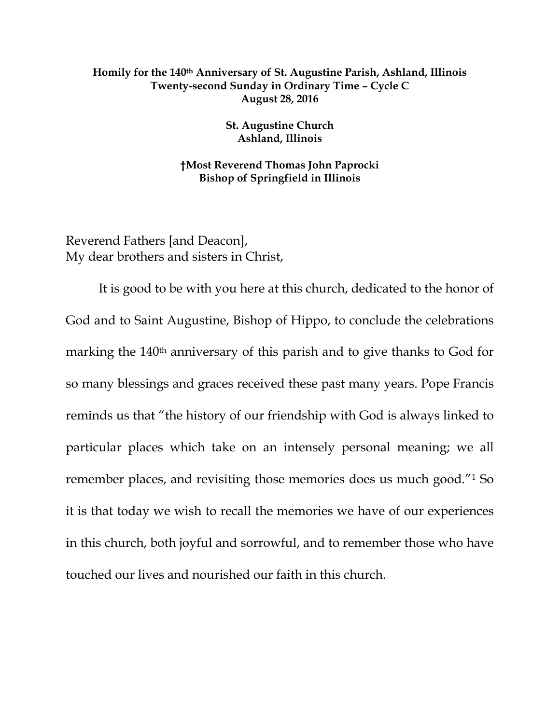## **Homily for the 140th Anniversary of St. Augustine Parish, Ashland, Illinois Twenty-second Sunday in Ordinary Time – Cycle C August 28, 2016**

**St. Augustine Church Ashland, Illinois**

**†Most Reverend Thomas John Paprocki Bishop of Springfield in Illinois**

Reverend Fathers [and Deacon], My dear brothers and sisters in Christ,

It is good to be with you here at this church, dedicated to the honor of God and to Saint Augustine, Bishop of Hippo, to conclude the celebrations marking the 140<sup>th</sup> anniversary of this parish and to give thanks to God for so many blessings and graces received these past many years. Pope Francis reminds us that "the history of our friendship with God is always linked to particular places which take on an intensely personal meaning; we all remember places, and revisiting those memories does us much good."[1](#page-5-0) So it is that today we wish to recall the memories we have of our experiences in this church, both joyful and sorrowful, and to remember those who have touched our lives and nourished our faith in this church.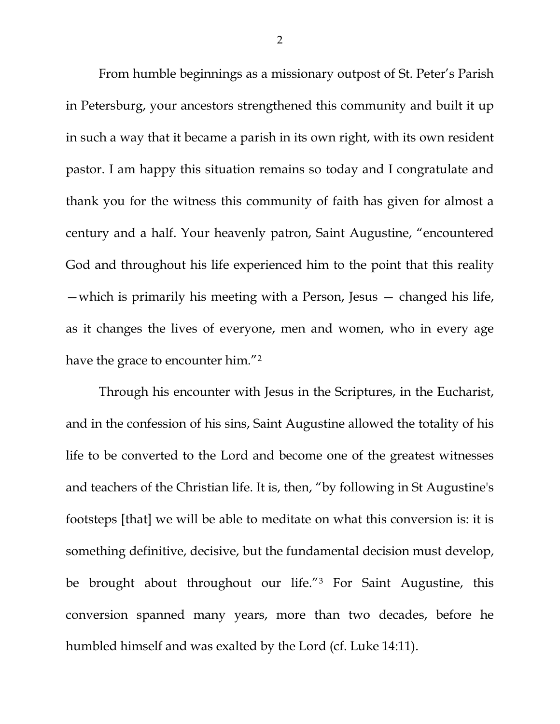From humble beginnings as a missionary outpost of St. Peter's Parish in Petersburg, your ancestors strengthened this community and built it up in such a way that it became a parish in its own right, with its own resident pastor. I am happy this situation remains so today and I congratulate and thank you for the witness this community of faith has given for almost a century and a half. Your heavenly patron, Saint Augustine, "encountered God and throughout his life experienced him to the point that this reality —which is primarily his meeting with a Person, Jesus — changed his life, as it changes the lives of everyone, men and women, who in every age have the grace to encounter him."[2](#page-5-1)

Through his encounter with Jesus in the Scriptures, in the Eucharist, and in the confession of his sins, Saint Augustine allowed the totality of his life to be converted to the Lord and become one of the greatest witnesses and teachers of the Christian life. It is, then, "by following in St Augustine's footsteps [that] we will be able to meditate on what this conversion is: it is something definitive, decisive, but the fundamental decision must develop, be brought about throughout our life."[3](#page-5-2) For Saint Augustine, this conversion spanned many years, more than two decades, before he humbled himself and was exalted by the Lord (cf. Luke 14:11).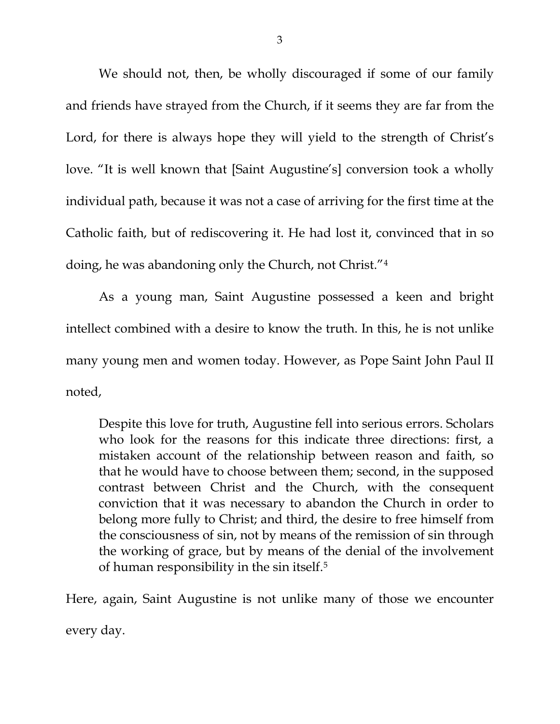We should not, then, be wholly discouraged if some of our family and friends have strayed from the Church, if it seems they are far from the Lord, for there is always hope they will yield to the strength of Christ's love. "It is well known that [Saint Augustine's] conversion took a wholly individual path, because it was not a case of arriving for the first time at the Catholic faith, but of rediscovering it. He had lost it, convinced that in so doing, he was abandoning only the Church, not Christ."[4](#page-5-3)

As a young man, Saint Augustine possessed a keen and bright intellect combined with a desire to know the truth. In this, he is not unlike many young men and women today. However, as Pope Saint John Paul II noted,

Despite this love for truth, Augustine fell into serious errors. Scholars who look for the reasons for this indicate three directions: first, a mistaken account of the relationship between reason and faith, so that he would have to choose between them; second, in the supposed contrast between Christ and the Church, with the consequent conviction that it was necessary to abandon the Church in order to belong more fully to Christ; and third, the desire to free himself from the consciousness of sin, not by means of the remission of sin through the working of grace, but by means of the denial of the involvement of human responsibility in the sin itself.[5](#page-5-4)

Here, again, Saint Augustine is not unlike many of those we encounter every day.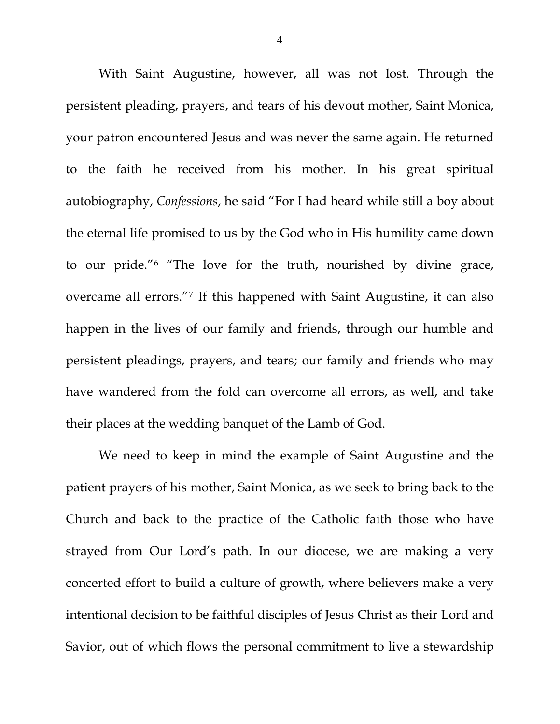With Saint Augustine, however, all was not lost. Through the persistent pleading, prayers, and tears of his devout mother, Saint Monica, your patron encountered Jesus and was never the same again. He returned to the faith he received from his mother. In his great spiritual autobiography, *Confessions*, he said "For I had heard while still a boy about the eternal life promised to us by the God who in His humility came down to our pride."[6](#page-5-5) "The love for the truth, nourished by divine grace, overcame all errors."[7](#page-5-6) If this happened with Saint Augustine, it can also happen in the lives of our family and friends, through our humble and persistent pleadings, prayers, and tears; our family and friends who may have wandered from the fold can overcome all errors, as well, and take their places at the wedding banquet of the Lamb of God.

We need to keep in mind the example of Saint Augustine and the patient prayers of his mother, Saint Monica, as we seek to bring back to the Church and back to the practice of the Catholic faith those who have strayed from Our Lord's path. In our diocese, we are making a very concerted effort to build a culture of growth, where believers make a very intentional decision to be faithful disciples of Jesus Christ as their Lord and Savior, out of which flows the personal commitment to live a stewardship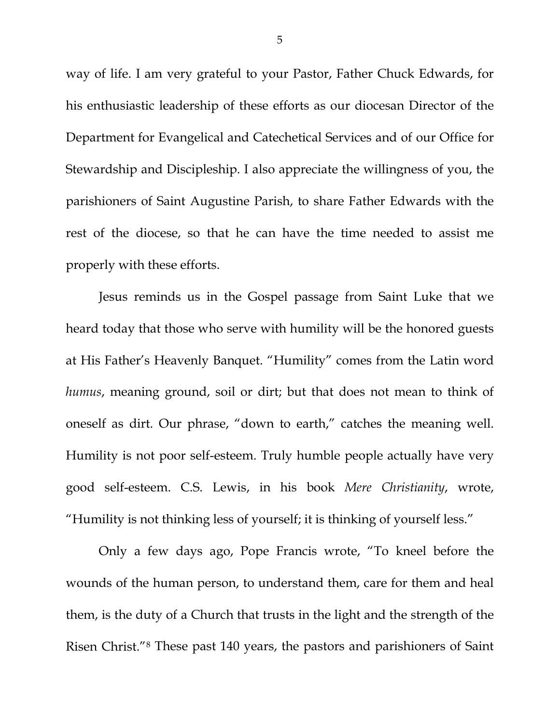way of life. I am very grateful to your Pastor, Father Chuck Edwards, for his enthusiastic leadership of these efforts as our diocesan Director of the Department for Evangelical and Catechetical Services and of our Office for Stewardship and Discipleship. I also appreciate the willingness of you, the parishioners of Saint Augustine Parish, to share Father Edwards with the rest of the diocese, so that he can have the time needed to assist me properly with these efforts.

Jesus reminds us in the Gospel passage from Saint Luke that we heard today that those who serve with humility will be the honored guests at His Father's Heavenly Banquet. "Humility" comes from the Latin word *humus*, meaning ground, soil or dirt; but that does not mean to think of oneself as dirt. Our phrase, "down to earth," catches the meaning well. Humility is not poor self-esteem. Truly humble people actually have very good self-esteem. C.S. Lewis, in his book *Mere Christianity*, wrote, "Humility is not thinking less of yourself; it is thinking of yourself less."

Only a few days ago, Pope Francis wrote, "To kneel before the wounds of the human person, to understand them, care for them and heal them, is the duty of a Church that trusts in the light and the strength of the Risen Christ."[8](#page-5-7) These past 140 years, the pastors and parishioners of Saint

5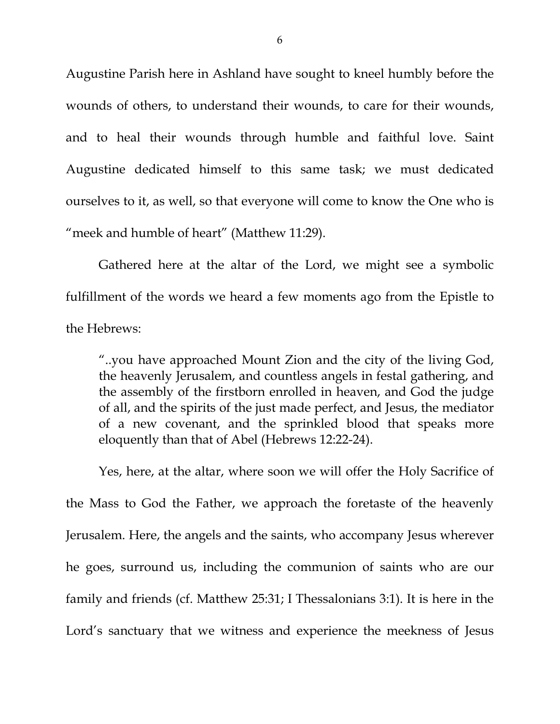Augustine Parish here in Ashland have sought to kneel humbly before the wounds of others, to understand their wounds, to care for their wounds, and to heal their wounds through humble and faithful love. Saint Augustine dedicated himself to this same task; we must dedicated ourselves to it, as well, so that everyone will come to know the One who is "meek and humble of heart" (Matthew 11:29).

<span id="page-5-4"></span><span id="page-5-3"></span><span id="page-5-2"></span><span id="page-5-1"></span><span id="page-5-0"></span>Gathered here at the altar of the Lord, we might see a symbolic fulfillment of the words we heard a few moments ago from the Epistle to the Hebrews:

<span id="page-5-7"></span><span id="page-5-6"></span><span id="page-5-5"></span>"..you have approached Mount Zion and the city of the living God, the heavenly Jerusalem, and countless angels in festal gathering, and the assembly of the firstborn enrolled in heaven, and God the judge of all, and the spirits of the just made perfect, and Jesus, the mediator of a new covenant, and the sprinkled blood that speaks more eloquently than that of Abel (Hebrews 12:22-24).

Yes, here, at the altar, where soon we will offer the Holy Sacrifice of the Mass to God the Father, we approach the foretaste of the heavenly Jerusalem. Here, the angels and the saints, who accompany Jesus wherever he goes, surround us, including the communion of saints who are our family and friends (cf. Matthew 25:31; I Thessalonians 3:1). It is here in the Lord's sanctuary that we witness and experience the meekness of Jesus